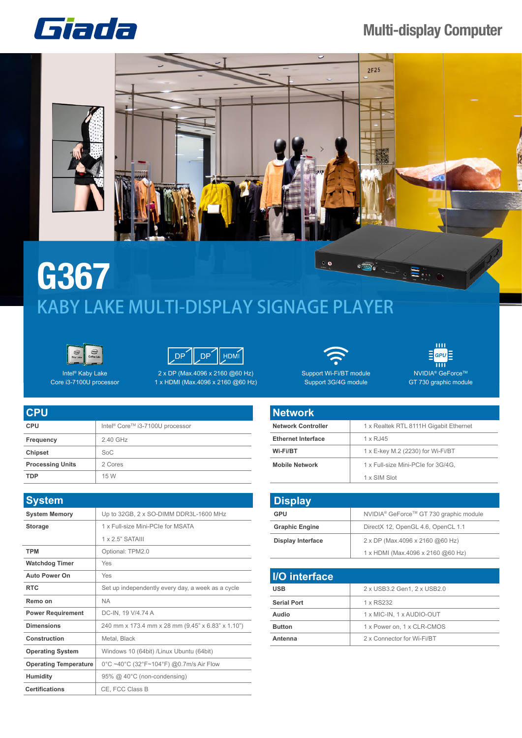## Giada

## **Multi-display Computer**



## **G367**  $\circ$  o  $\approx \frac{1}{\sqrt{2}}$ KABY LAKE MULTI-DISPLAY SIGNAGE PLAYER





1 x HDMI (Max.4096 x 2160 @60 Hz)

Intel® Kaby Lake Core i3-7100U processor

| <b>CPU</b>              |                                                         |
|-------------------------|---------------------------------------------------------|
| <b>CPU</b>              | Intel <sup>®</sup> Core <sup>™</sup> i3-7100U processor |
| Frequency               | 2.40 GHz                                                |
| Chipset                 | SoC                                                     |
| <b>Processing Units</b> | 2 Cores                                                 |
| <b>TDP</b>              | 15 W                                                    |

| <b>System</b>                |                                                   |
|------------------------------|---------------------------------------------------|
| <b>System Memory</b>         | Up to 32GB, 2 x SO-DIMM DDR3L-1600 MHz            |
| <b>Storage</b>               | 1 x Full-size Mini-PCIe for MSATA                 |
|                              | $1 \times 2.5$ " SATAIII                          |
| <b>TPM</b>                   | Optional: TPM2.0                                  |
| <b>Watchdog Timer</b>        | Yes                                               |
| <b>Auto Power On</b>         | Yes                                               |
| <b>RTC</b>                   | Set up independently every day, a week as a cycle |
| Remo on                      | <b>NA</b>                                         |
| <b>Power Requirement</b>     | DC-IN, 19 V/4.74 A                                |
| <b>Dimensions</b>            | 240 mm x 173.4 mm x 28 mm (9.45" x 6.83" x 1.10") |
| Construction                 | Metal, Black                                      |
| <b>Operating System</b>      | Windows 10 (64bit) /Linux Ubuntu (64bit)          |
| <b>Operating Temperature</b> | 0°C ~40°C (32°F~104°F) @0.7m/s Air Flow           |
| <b>Humidity</b>              | 95% @ 40°C (non-condensing)                       |
| <b>Certifications</b>        | CE, FCC Class B                                   |



Support Wi-Fi/BT module Support 3G/4G module

GPL  $\overline{\mathbf{m}}$ NVIDIA<sup>®</sup> GeForce™ GT 730 graphic module

| <b>Network</b>            |                                        |
|---------------------------|----------------------------------------|
| <b>Network Controller</b> | 1 x Realtek RTL 8111H Gigabit Ethernet |
| <b>Ethernet Interface</b> | 1 x RJ45                               |
| Wi-Fi/BT                  | 1 x E-key M.2 (2230) for Wi-Fi/BT      |
| <b>Mobile Network</b>     | 1 x Full-size Mini-PCIe for 3G/4G.     |
|                           | 1 x SIM Slot                           |

| <b>Display</b>           |                                                    |
|--------------------------|----------------------------------------------------|
| GPU                      | NVIDIA <sup>®</sup> GeForce™ GT 730 graphic module |
| <b>Graphic Engine</b>    | DirectX 12, OpenGL 4.6, OpenCL 1.1                 |
| <b>Display Interface</b> | 2 x DP (Max.4096 x 2160 @60 Hz)                    |
|                          | 1 x HDMI (Max.4096 x 2160 @60 Hz)                  |

| I/O interface      |                             |
|--------------------|-----------------------------|
| <b>USB</b>         | 2 x USB3.2 Gen1, 2 x USB2.0 |
| <b>Serial Port</b> | 1 x RS232                   |
| Audio              | 1 x MIC-IN, 1 x AUDIO-OUT   |
| <b>Button</b>      | 1 x Power on, 1 x CLR-CMOS  |
| Antenna            | 2 x Connector for Wi-Fi/BT  |